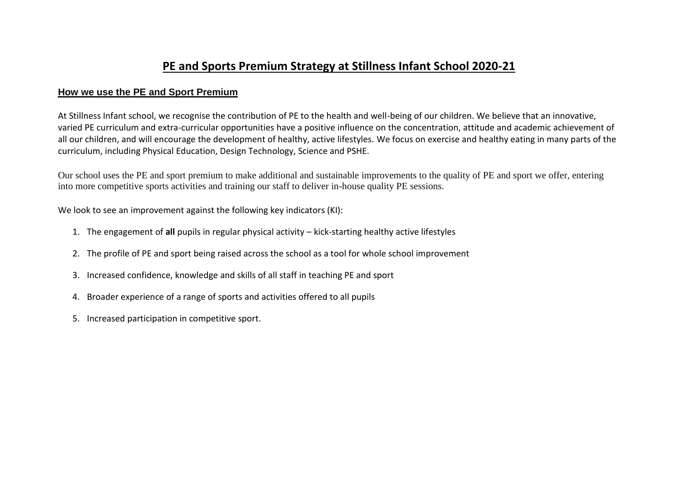## **PE and Sports Premium Strategy at Stillness Infant School 2020-21**

## **How we use the PE and Sport Premium**

At Stillness Infant school, we recognise the contribution of PE to the health and well-being of our children. We believe that an innovative, varied PE curriculum and extra-curricular opportunities have a positive influence on the concentration, attitude and academic achievement of all our children, and will encourage the development of healthy, active lifestyles. We focus on exercise and healthy eating in many parts of the curriculum, including Physical Education, Design Technology, Science and PSHE.

Our school uses the PE and sport premium to make additional and sustainable improvements to the quality of PE and sport we offer, entering into more competitive sports activities and training our staff to deliver in-house quality PE sessions.

We look to see an improvement against the following key indicators (KI):

- 1. The engagement of **all** pupils in regular physical activity kick-starting healthy active lifestyles
- 2. The profile of PE and sport being raised across the school as a tool for whole school improvement
- 3. Increased confidence, knowledge and skills of all staff in teaching PE and sport
- 4. Broader experience of a range of sports and activities offered to all pupils
- 5. Increased participation in competitive sport.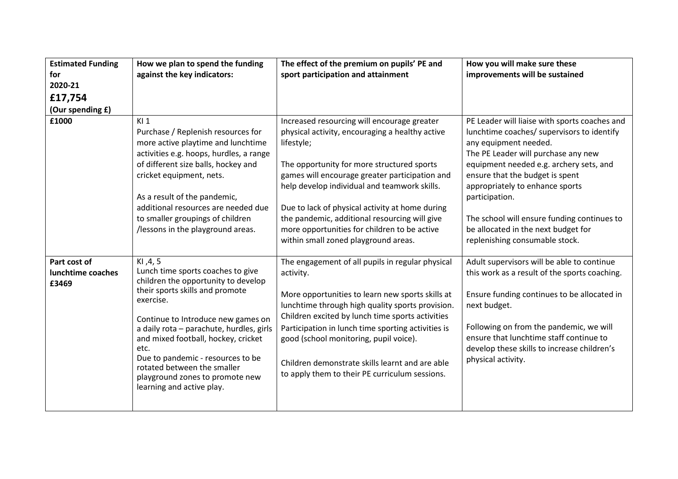| <b>Estimated Funding</b><br>for<br>2020-21<br>£17,754<br>(Our spending £) | How we plan to spend the funding<br>against the key indicators:                                                                                                                                                                                                                                                                                                                                           | The effect of the premium on pupils' PE and<br>sport participation and attainment                                                                                                                                                                                                                                                                                                                                                                        | How you will make sure these<br>improvements will be sustained                                                                                                                                                                                                                                                                                                                                                         |
|---------------------------------------------------------------------------|-----------------------------------------------------------------------------------------------------------------------------------------------------------------------------------------------------------------------------------------------------------------------------------------------------------------------------------------------------------------------------------------------------------|----------------------------------------------------------------------------------------------------------------------------------------------------------------------------------------------------------------------------------------------------------------------------------------------------------------------------------------------------------------------------------------------------------------------------------------------------------|------------------------------------------------------------------------------------------------------------------------------------------------------------------------------------------------------------------------------------------------------------------------------------------------------------------------------------------------------------------------------------------------------------------------|
| £1000                                                                     | K11<br>Purchase / Replenish resources for<br>more active playtime and lunchtime<br>activities e.g. hoops, hurdles, a range<br>of different size balls, hockey and<br>cricket equipment, nets.<br>As a result of the pandemic,<br>additional resources are needed due<br>to smaller groupings of children<br>/lessons in the playground areas.                                                             | Increased resourcing will encourage greater<br>physical activity, encouraging a healthy active<br>lifestyle;<br>The opportunity for more structured sports<br>games will encourage greater participation and<br>help develop individual and teamwork skills.<br>Due to lack of physical activity at home during<br>the pandemic, additional resourcing will give<br>more opportunities for children to be active<br>within small zoned playground areas. | PE Leader will liaise with sports coaches and<br>lunchtime coaches/ supervisors to identify<br>any equipment needed.<br>The PE Leader will purchase any new<br>equipment needed e.g. archery sets, and<br>ensure that the budget is spent<br>appropriately to enhance sports<br>participation.<br>The school will ensure funding continues to<br>be allocated in the next budget for<br>replenishing consumable stock. |
| Part cost of<br>lunchtime coaches<br>£3469                                | KI, 4, 5<br>Lunch time sports coaches to give<br>children the opportunity to develop<br>their sports skills and promote<br>exercise.<br>Continue to Introduce new games on<br>a daily rota - parachute, hurdles, girls<br>and mixed football, hockey, cricket<br>etc.<br>Due to pandemic - resources to be<br>rotated between the smaller<br>playground zones to promote new<br>learning and active play. | The engagement of all pupils in regular physical<br>activity.<br>More opportunities to learn new sports skills at<br>lunchtime through high quality sports provision.<br>Children excited by lunch time sports activities<br>Participation in lunch time sporting activities is<br>good (school monitoring, pupil voice).<br>Children demonstrate skills learnt and are able<br>to apply them to their PE curriculum sessions.                           | Adult supervisors will be able to continue<br>this work as a result of the sports coaching.<br>Ensure funding continues to be allocated in<br>next budget.<br>Following on from the pandemic, we will<br>ensure that lunchtime staff continue to<br>develop these skills to increase children's<br>physical activity.                                                                                                  |